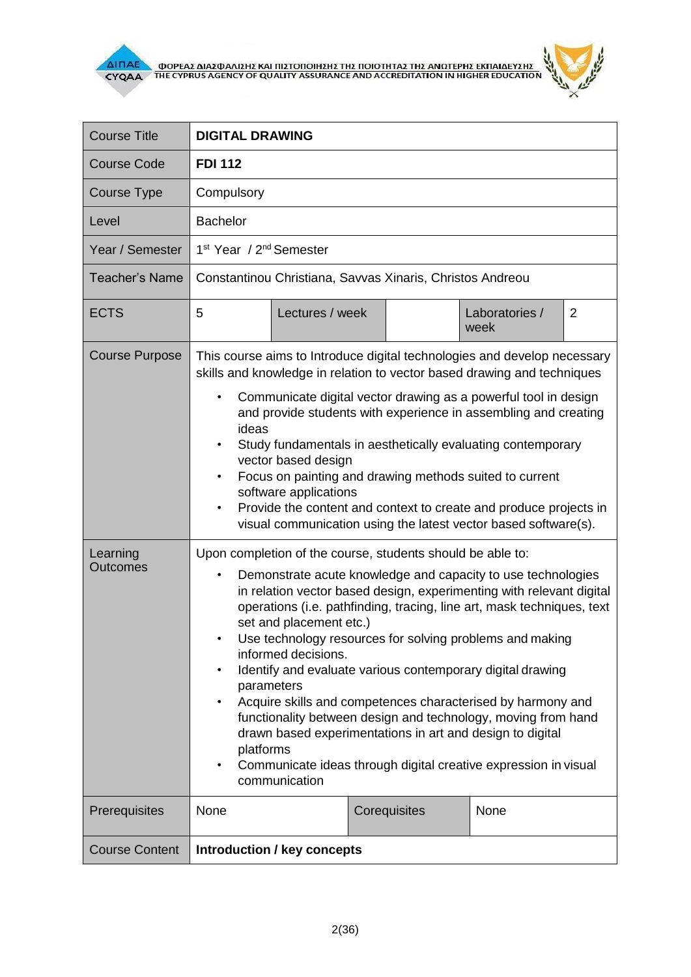



| <b>Course Title</b>         | <b>DIGITAL DRAWING</b>                                                                                                                                                                                                                                                                                                                                                                                                                                                                                                                                                                                                                                                                                                                                                                         |                |  |  |
|-----------------------------|------------------------------------------------------------------------------------------------------------------------------------------------------------------------------------------------------------------------------------------------------------------------------------------------------------------------------------------------------------------------------------------------------------------------------------------------------------------------------------------------------------------------------------------------------------------------------------------------------------------------------------------------------------------------------------------------------------------------------------------------------------------------------------------------|----------------|--|--|
| <b>Course Code</b>          | <b>FDI 112</b>                                                                                                                                                                                                                                                                                                                                                                                                                                                                                                                                                                                                                                                                                                                                                                                 |                |  |  |
| Course Type                 | Compulsory                                                                                                                                                                                                                                                                                                                                                                                                                                                                                                                                                                                                                                                                                                                                                                                     |                |  |  |
| Level                       | <b>Bachelor</b>                                                                                                                                                                                                                                                                                                                                                                                                                                                                                                                                                                                                                                                                                                                                                                                |                |  |  |
| Year / Semester             | 1 <sup>st</sup> Year / 2 <sup>nd</sup> Semester                                                                                                                                                                                                                                                                                                                                                                                                                                                                                                                                                                                                                                                                                                                                                |                |  |  |
| <b>Teacher's Name</b>       | Constantinou Christiana, Savvas Xinaris, Christos Andreou                                                                                                                                                                                                                                                                                                                                                                                                                                                                                                                                                                                                                                                                                                                                      |                |  |  |
| <b>ECTS</b>                 | 5<br>Lectures / week<br>Laboratories /<br>week                                                                                                                                                                                                                                                                                                                                                                                                                                                                                                                                                                                                                                                                                                                                                 | $\overline{2}$ |  |  |
| <b>Course Purpose</b>       | This course aims to Introduce digital technologies and develop necessary<br>skills and knowledge in relation to vector based drawing and techniques<br>Communicate digital vector drawing as a powerful tool in design<br>$\bullet$<br>and provide students with experience in assembling and creating<br>ideas<br>Study fundamentals in aesthetically evaluating contemporary<br>vector based design<br>Focus on painting and drawing methods suited to current<br>software applications<br>Provide the content and context to create and produce projects in<br>visual communication using the latest vector based software(s).                                                                                                                                                              |                |  |  |
| Learning<br><b>Outcomes</b> | Upon completion of the course, students should be able to:<br>Demonstrate acute knowledge and capacity to use technologies<br>$\bullet$<br>in relation vector based design, experimenting with relevant digital<br>operations (i.e. pathfinding, tracing, line art, mask techniques, text<br>set and placement etc.)<br>Use technology resources for solving problems and making<br>$\bullet$<br>informed decisions.<br>Identify and evaluate various contemporary digital drawing<br>parameters<br>Acquire skills and competences characterised by harmony and<br>functionality between design and technology, moving from hand<br>drawn based experimentations in art and design to digital<br>platforms<br>Communicate ideas through digital creative expression in visual<br>communication |                |  |  |
| Prerequisites               | None<br>Corequisites<br>None                                                                                                                                                                                                                                                                                                                                                                                                                                                                                                                                                                                                                                                                                                                                                                   |                |  |  |
| <b>Course Content</b>       | Introduction / key concepts                                                                                                                                                                                                                                                                                                                                                                                                                                                                                                                                                                                                                                                                                                                                                                    |                |  |  |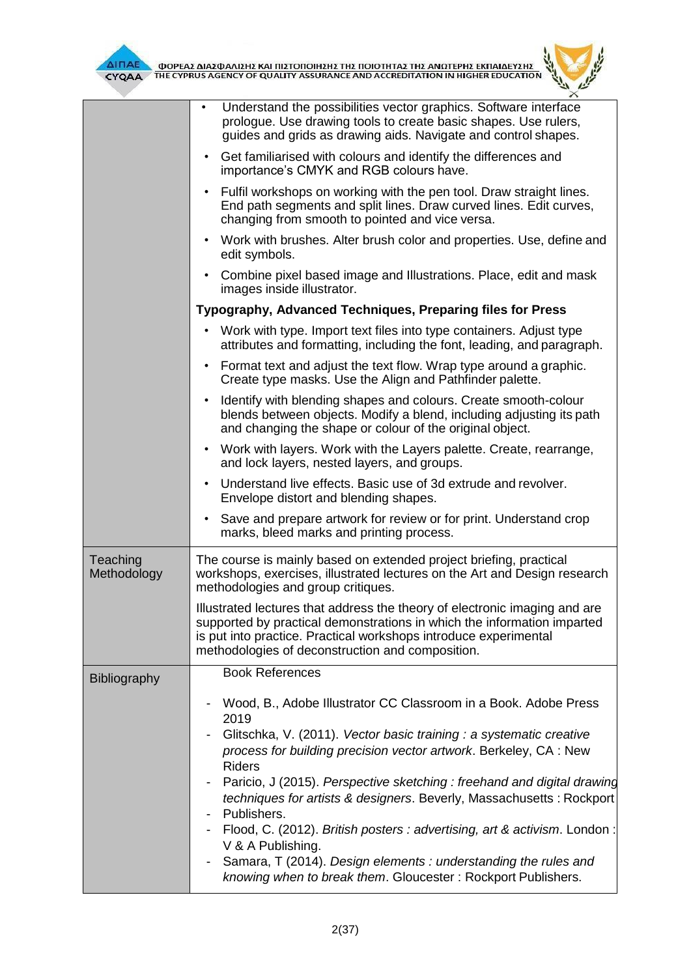



|                         | Understand the possibilities vector graphics. Software interface<br>$\bullet$<br>prologue. Use drawing tools to create basic shapes. Use rulers,<br>guides and grids as drawing aids. Navigate and control shapes.                                                                                                                                                                                                                                                                                                                                                                                                                        |  |
|-------------------------|-------------------------------------------------------------------------------------------------------------------------------------------------------------------------------------------------------------------------------------------------------------------------------------------------------------------------------------------------------------------------------------------------------------------------------------------------------------------------------------------------------------------------------------------------------------------------------------------------------------------------------------------|--|
|                         | Get familiarised with colours and identify the differences and<br>importance's CMYK and RGB colours have.                                                                                                                                                                                                                                                                                                                                                                                                                                                                                                                                 |  |
|                         | Fulfil workshops on working with the pen tool. Draw straight lines.<br>End path segments and split lines. Draw curved lines. Edit curves,<br>changing from smooth to pointed and vice versa.                                                                                                                                                                                                                                                                                                                                                                                                                                              |  |
|                         | Work with brushes. Alter brush color and properties. Use, define and<br>edit symbols.                                                                                                                                                                                                                                                                                                                                                                                                                                                                                                                                                     |  |
|                         | Combine pixel based image and Illustrations. Place, edit and mask<br>images inside illustrator.                                                                                                                                                                                                                                                                                                                                                                                                                                                                                                                                           |  |
|                         | Typography, Advanced Techniques, Preparing files for Press                                                                                                                                                                                                                                                                                                                                                                                                                                                                                                                                                                                |  |
|                         | Work with type. Import text files into type containers. Adjust type<br>$\bullet$<br>attributes and formatting, including the font, leading, and paragraph.                                                                                                                                                                                                                                                                                                                                                                                                                                                                                |  |
|                         | Format text and adjust the text flow. Wrap type around a graphic.<br>Create type masks. Use the Align and Pathfinder palette.                                                                                                                                                                                                                                                                                                                                                                                                                                                                                                             |  |
|                         | Identify with blending shapes and colours. Create smooth-colour<br>blends between objects. Modify a blend, including adjusting its path<br>and changing the shape or colour of the original object.                                                                                                                                                                                                                                                                                                                                                                                                                                       |  |
|                         | Work with layers. Work with the Layers palette. Create, rearrange,<br>and lock layers, nested layers, and groups.                                                                                                                                                                                                                                                                                                                                                                                                                                                                                                                         |  |
|                         | Understand live effects. Basic use of 3d extrude and revolver.<br>$\bullet$<br>Envelope distort and blending shapes.                                                                                                                                                                                                                                                                                                                                                                                                                                                                                                                      |  |
|                         | Save and prepare artwork for review or for print. Understand crop<br>$\bullet$<br>marks, bleed marks and printing process.                                                                                                                                                                                                                                                                                                                                                                                                                                                                                                                |  |
| Teaching<br>Methodology | The course is mainly based on extended project briefing, practical<br>workshops, exercises, illustrated lectures on the Art and Design research<br>methodologies and group critiques.                                                                                                                                                                                                                                                                                                                                                                                                                                                     |  |
|                         | Illustrated lectures that address the theory of electronic imaging and are<br>supported by practical demonstrations in which the information imparted<br>is put into practice. Practical workshops introduce experimental<br>methodologies of deconstruction and composition.                                                                                                                                                                                                                                                                                                                                                             |  |
| <b>Bibliography</b>     | <b>Book References</b>                                                                                                                                                                                                                                                                                                                                                                                                                                                                                                                                                                                                                    |  |
|                         | Wood, B., Adobe Illustrator CC Classroom in a Book. Adobe Press<br>2019<br>Glitschka, V. (2011). Vector basic training : a systematic creative<br>process for building precision vector artwork. Berkeley, CA : New<br><b>Riders</b><br>Paricio, J (2015). Perspective sketching: freehand and digital drawing<br>techniques for artists & designers. Beverly, Massachusetts : Rockport<br>Publishers.<br>Flood, C. (2012). British posters: advertising, art & activism. London:<br>V & A Publishing.<br>Samara, T (2014). Design elements : understanding the rules and<br>knowing when to break them. Gloucester: Rockport Publishers. |  |
|                         |                                                                                                                                                                                                                                                                                                                                                                                                                                                                                                                                                                                                                                           |  |